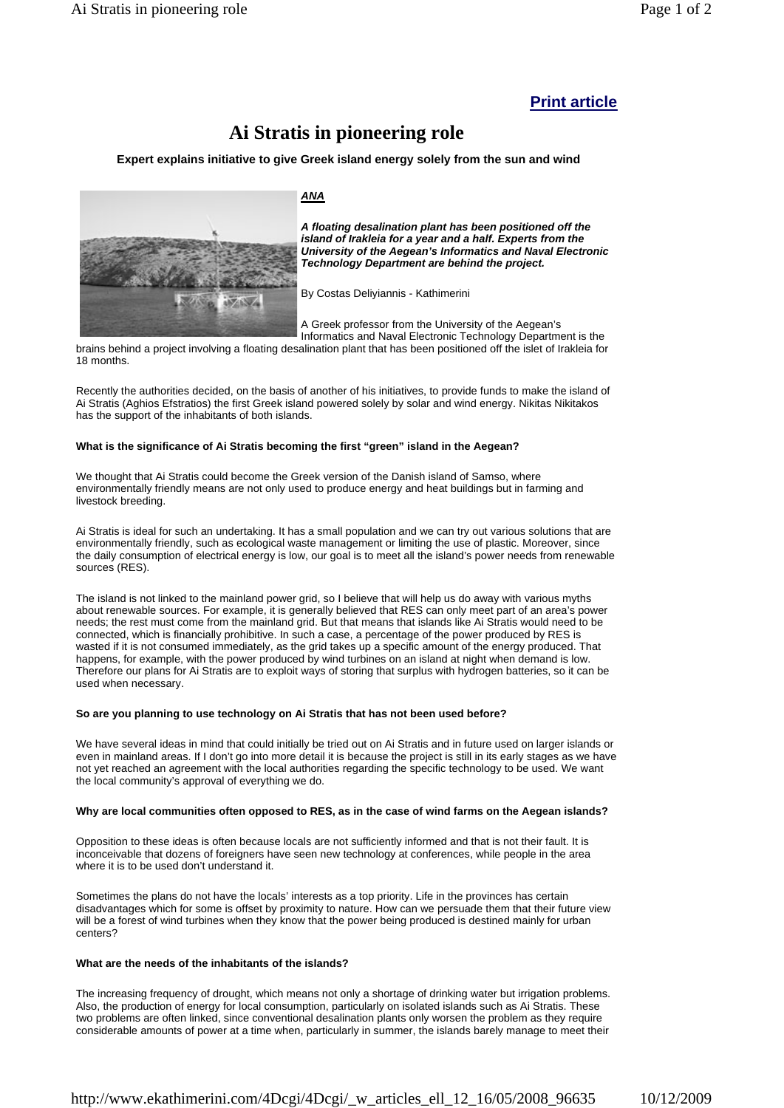# **Print article**

# **Ai Stratis in pioneering role**

**Expert explains initiative to give Greek island energy solely from the sun and wind**



*ANA*

*A floating desalination plant has been positioned off the island of Irakleia for a year and a half. Experts from the University of the Aegean's Informatics and Naval Electronic Technology Department are behind the project.*

By Costas Deliyiannis - Kathimerini

A Greek professor from the University of the Aegean's Informatics and Naval Electronic Technology Department is the

brains behind a project involving a floating desalination plant that has been positioned off the islet of Irakleia for 18 months.

Recently the authorities decided, on the basis of another of his initiatives, to provide funds to make the island of Ai Stratis (Aghios Efstratios) the first Greek island powered solely by solar and wind energy. Nikitas Nikitakos has the support of the inhabitants of both islands.

## **What is the significance of Ai Stratis becoming the first "green" island in the Aegean?**

We thought that Ai Stratis could become the Greek version of the Danish island of Samso, where environmentally friendly means are not only used to produce energy and heat buildings but in farming and livestock breeding.

Ai Stratis is ideal for such an undertaking. It has a small population and we can try out various solutions that are environmentally friendly, such as ecological waste management or limiting the use of plastic. Moreover, since the daily consumption of electrical energy is low, our goal is to meet all the island's power needs from renewable sources (RES).

The island is not linked to the mainland power grid, so I believe that will help us do away with various myths about renewable sources. For example, it is generally believed that RES can only meet part of an area's power needs; the rest must come from the mainland grid. But that means that islands like Ai Stratis would need to be connected, which is financially prohibitive. In such a case, a percentage of the power produced by RES is wasted if it is not consumed immediately, as the grid takes up a specific amount of the energy produced. That happens, for example, with the power produced by wind turbines on an island at night when demand is low. Therefore our plans for Ai Stratis are to exploit ways of storing that surplus with hydrogen batteries, so it can be used when necessary.

#### **So are you planning to use technology on Ai Stratis that has not been used before?**

We have several ideas in mind that could initially be tried out on Ai Stratis and in future used on larger islands or even in mainland areas. If I don't go into more detail it is because the project is still in its early stages as we have not yet reached an agreement with the local authorities regarding the specific technology to be used. We want the local community's approval of everything we do.

## **Why are local communities often opposed to RES, as in the case of wind farms on the Aegean islands?**

Opposition to these ideas is often because locals are not sufficiently informed and that is not their fault. It is inconceivable that dozens of foreigners have seen new technology at conferences, while people in the area where it is to be used don't understand it.

Sometimes the plans do not have the locals' interests as a top priority. Life in the provinces has certain disadvantages which for some is offset by proximity to nature. How can we persuade them that their future view will be a forest of wind turbines when they know that the power being produced is destined mainly for urban centers?

#### **What are the needs of the inhabitants of the islands?**

The increasing frequency of drought, which means not only a shortage of drinking water but irrigation problems. Also, the production of energy for local consumption, particularly on isolated islands such as Ai Stratis. These two problems are often linked, since conventional desalination plants only worsen the problem as they require considerable amounts of power at a time when, particularly in summer, the islands barely manage to meet their